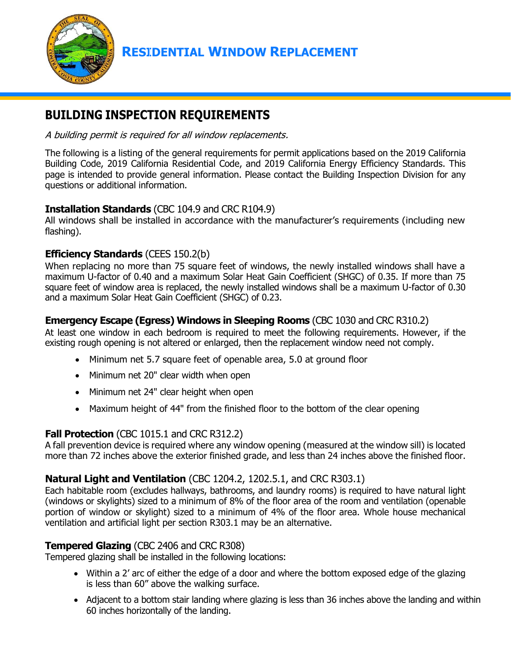

# **RESIDENTIAL WINDOW REPLACEMENT**

# **BUILDING INSPECTION REQUIREMENTS**

A building permit is required for all window replacements.

The following is a listing of the general requirements for permit applications based on the 2019 California Building Code, 2019 California Residential Code, and 2019 California Energy Efficiency Standards. This page is intended to provide general information. Please contact the Building Inspection Division for any questions or additional information.

## **Installation Standards** (CBC 104.9 and CRC R104.9)

All windows shall be installed in accordance with the manufacturer's requirements (including new flashing).

## **Efficiency Standards** (CEES 150.2(b)

When replacing no more than 75 square feet of windows, the newly installed windows shall have a maximum U-factor of 0.40 and a maximum Solar Heat Gain Coefficient (SHGC) of 0.35. If more than 75 square feet of window area is replaced, the newly installed windows shall be a maximum U-factor of 0.30 and a maximum Solar Heat Gain Coefficient (SHGC) of 0.23.

## **Emergency Escape (Egress) Windows in Sleeping Rooms** (CBC 1030 and CRC R310.2)

At least one window in each bedroom is required to meet the following requirements. However, if the existing rough opening is not altered or enlarged, then the replacement window need not comply.

- Minimum net 5.7 square feet of openable area, 5.0 at ground floor
- Minimum net 20" clear width when open
- Minimum net 24" clear height when open
- Maximum height of 44" from the finished floor to the bottom of the clear opening

#### **Fall Protection** (CBC 1015.1 and CRC R312.2)

A fall prevention device is required where any window opening (measured at the window sill) is located more than 72 inches above the exterior finished grade, and less than 24 inches above the finished floor.

#### **Natural Light and Ventilation** (CBC 1204.2, 1202.5.1, and CRC R303.1)

Each habitable room (excludes hallways, bathrooms, and laundry rooms) is required to have natural light (windows or skylights) sized to a minimum of 8% of the floor area of the room and ventilation (openable portion of window or skylight) sized to a minimum of 4% of the floor area. Whole house mechanical ventilation and artificial light per section R303.1 may be an alternative.

#### **Tempered Glazing** (CBC 2406 and CRC R308)

Tempered glazing shall be installed in the following locations:

- Within a 2' arc of either the edge of a door and where the bottom exposed edge of the glazing is less than 60" above the walking surface.
- Adjacent to a bottom stair landing where glazing is less than 36 inches above the landing and within 60 inches horizontally of the landing.